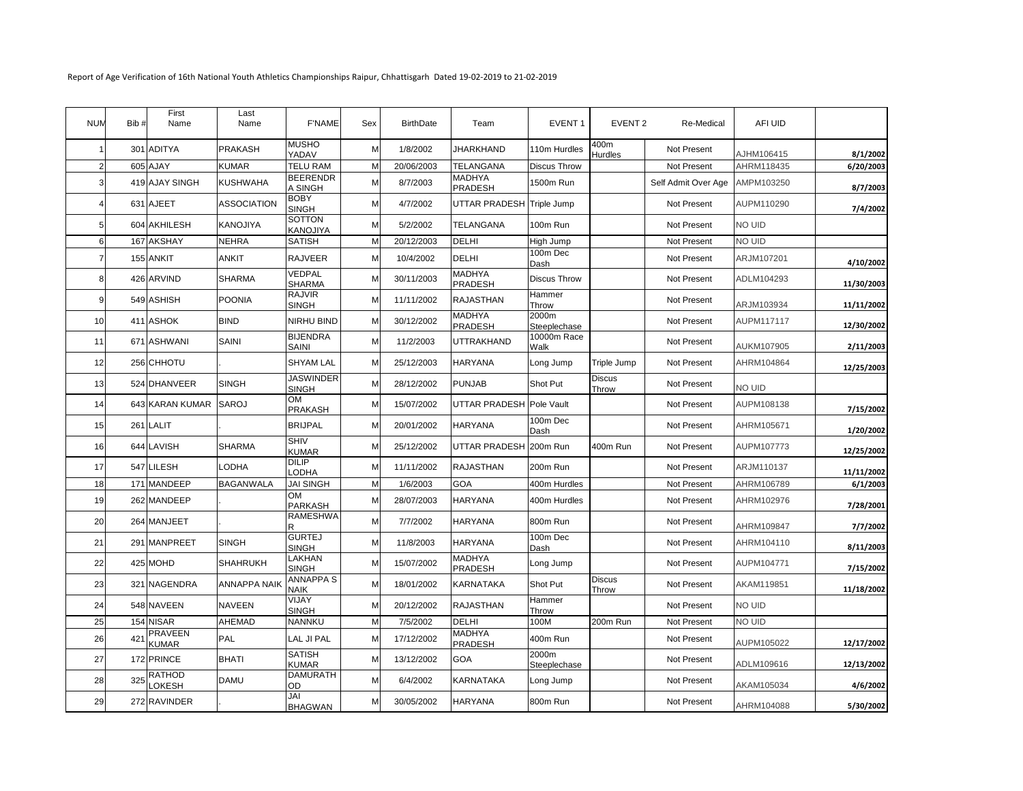Report of Age Verification of 16th National Youth Athletics Championships Raipur, Chhattisgarh Dated 19-02-2019 to 21-02-2019

| <b>NUM</b>     | Bib # | First<br>Name                  | Last<br>Name        | <b>F'NAME</b>               | Sex | <b>BirthDate</b> | Team                      | EVENT <sub>1</sub>    | EVENT <sub>2</sub>     | Re-Medical          | AFI UID       |            |
|----------------|-------|--------------------------------|---------------------|-----------------------------|-----|------------------|---------------------------|-----------------------|------------------------|---------------------|---------------|------------|
|                |       | 301 ADITYA                     | <b>PRAKASH</b>      | <b>MUSHO</b><br>YADAV       | M   | 1/8/2002         | <b>JHARKHAND</b>          | 110m Hurdles          | 400m<br><b>Hurdles</b> | Not Present         | AJHM106415    | 8/1/2002   |
| $\overline{2}$ |       | 605 AJAY                       | KUMAR               | <b>TELU RAM</b>             | M   | 20/06/2003       | TELANGANA                 | Discus Throw          |                        | Not Present         | AHRM118435    | 6/20/2003  |
| 3              |       | 419 AJAY SINGH                 | KUSHWAHA            | <b>BEERENDR</b><br>A SINGH  | M   | 8/7/2003         | <b>MADHYA</b><br>PRADESH  | 1500m Run             |                        | Self Admit Over Age | AMPM103250    | 8/7/2003   |
|                |       | 631 AJEET                      | <b>ASSOCIATION</b>  | <b>BOBY</b><br><b>SINGH</b> | M   | 4/7/2002         | UTTAR PRADESH Triple Jump |                       |                        | Not Present         | AUPM110290    | 7/4/2002   |
| 5              |       | 604 AKHILESH                   | <b>KANOJIYA</b>     | SOTTON<br>KANOJIYA          | M   | 5/2/2002         | TELANGANA                 | 100m Run              |                        | Not Present         | <b>NO UID</b> |            |
| 6              |       | 167 AKSHAY                     | <b>NEHRA</b>        | <b>SATISH</b>               | M   | 20/12/2003       | DELHI                     | High Jump             |                        | Not Present         | NO UID        |            |
| $\overline{7}$ |       | 155 ANKIT                      | <b>ANKIT</b>        | <b>RAJVEER</b>              | M   | 10/4/2002        | <b>DELHI</b>              | 100m Dec<br>Dash      |                        | Not Present         | ARJM107201    | 4/10/2002  |
| 8              |       | 426 ARVIND                     | SHARMA              | VEDPAL<br><b>SHARMA</b>     | M   | 30/11/2003       | <b>MADHYA</b><br>PRADESH  | Discus Throw          |                        | Not Present         | ADLM104293    | 11/30/2003 |
| 9              |       | 549 ASHISH                     | <b>POONIA</b>       | <b>RAJVIR</b><br>SINGH      | M   | 11/11/2002       | <b>RAJASTHAN</b>          | Hammer<br>Throw       |                        | Not Present         | ARJM103934    | 11/11/2002 |
| 10             |       | 411 ASHOK                      | <b>BIND</b>         | NIRHU BIND                  | M   | 30/12/2002       | <b>MADHYA</b><br>PRADESH  | 2000m<br>Steeplechase |                        | Not Present         | AUPM117117    | 12/30/2002 |
| 11             |       | 671 ASHWANI                    | SAINI               | <b>BIJENDRA</b><br>SAINI    | M   | 11/2/2003        | UTTRAKHAND                | 10000m Race<br>Walk   |                        | Not Present         | AUKM107905    | 2/11/2003  |
| 12             |       | 256 CHHOTU                     |                     | <b>SHYAM LAL</b>            | M   | 25/12/2003       | <b>HARYANA</b>            | Long Jump             | Triple Jump            | Not Present         | AHRM104864    | 12/25/2003 |
| 13             |       | 524 DHANVEER                   | SINGH               | <b>JASWINDER</b><br>SINGH   | M   | 28/12/2002       | <b>PUNJAB</b>             | Shot Put              | <b>Discus</b><br>Throw | Not Present         | NO UID        |            |
| 14             |       | 643 KARAN KUMAR                | <b>SAROJ</b>        | OМ<br>PRAKASH               | M   | 15/07/2002       | UTTAR PRADESH Pole Vault  |                       |                        | Not Present         | AUPM108138    | 7/15/2002  |
| 15             |       | 261 LALIT                      |                     | <b>BRIJPAL</b>              | M   | 20/01/2002       | <b>HARYANA</b>            | 100m Dec<br>Dash      |                        | Not Present         | AHRM105671    | 1/20/2002  |
| 16             |       | 644 LAVISH                     | <b>SHARMA</b>       | <b>SHIV</b><br>KUMAR        | M   | 25/12/2002       | UTTAR PRADESH 200m Run    |                       | 400m Run               | Not Present         | AUPM107773    | 12/25/2002 |
| 17             |       | 547 LILESH                     | LODHA               | <b>DILIP</b><br>LODHA       | M   | 11/11/2002       | <b>RAJASTHAN</b>          | 200m Run              |                        | Not Present         | ARJM110137    | 11/11/2002 |
| 18             |       | 171 MANDEEP                    | <b>BAGANWALA</b>    | <b>JAI SINGH</b>            | M   | 1/6/2003         | GOA                       | 400m Hurdles          |                        | Not Present         | AHRM106789    | 6/1/2003   |
| 19             |       | 262 MANDEEP                    |                     | <b>OM</b><br>PARKASH        | M   | 28/07/2003       | <b>HARYANA</b>            | 400m Hurdles          |                        | Not Present         | AHRM102976    | 7/28/2001  |
| 20             |       | 264 MANJEET                    |                     | <b>RAMESHWA</b>             | M   | 7/7/2002         | HARYANA                   | 800m Run              |                        | Not Present         | AHRM109847    | 7/7/2002   |
| 21             |       | 291 MANPREET                   | <b>SINGH</b>        | <b>GURTEJ</b><br>SINGH      | M   | 11/8/2003        | <b>HARYANA</b>            | 100m Dec<br>Dash      |                        | Not Present         | AHRM104110    | 8/11/2003  |
| 22             |       | 425 MOHD                       | <b>SHAHRUKH</b>     | LAKHAN<br>SINGH             | M   | 15/07/2002       | MADHYA<br><b>PRADESH</b>  | Long Jump             |                        | Not Present         | AUPM104771    | 7/15/2002  |
| 23             |       | 321 NAGENDRA                   | <b>ANNAPPA NAIK</b> | ANNAPPA S<br>NAIK           | M   | 18/01/2002       | KARNATAKA                 | Shot Put              | <b>Discus</b><br>Throw | Not Present         | AKAM119851    | 11/18/2002 |
| 24             |       | 548 NAVEEN                     | <b>NAVEEN</b>       | VIJAY<br>SINGH              | М   | 20/12/2002       | <b>RAJASTHAN</b>          | Hammer<br>Throw       |                        | Not Present         | <b>NO UID</b> |            |
| 25             |       | 154 NISAR                      | AHEMAD              | NANNKU                      | M   | 7/5/2002         | DELHI                     | 100M                  | 200m Run               | Not Present         | NO UID        |            |
| 26             | 421   | PRAVEEN<br><b>KUMAR</b>        | PAL                 | LAL JI PAL                  | M   | 17/12/2002       | MADHYA<br><b>PRADESH</b>  | 400m Run              |                        | Not Present         | AUPM105022    | 12/17/2002 |
| 27             |       | 172 PRINCE                     | <b>BHATI</b>        | <b>SATISH</b><br>KUMAR      | M   | 13/12/2002       | GOA                       | 2000m<br>Steeplechase |                        | Not Present         | ADLM109616    | 12/13/2002 |
| 28             | 325   | <b>RATHOD</b><br><b>LOKESH</b> | <b>DAMU</b>         | <b>DAMURATH</b><br>OD       | M   | 6/4/2002         | KARNATAKA                 | Long Jump             |                        | Not Present         | AKAM105034    | 4/6/2002   |
| 29             |       | 272 RAVINDER                   |                     | JAI<br><b>BHAGWAN</b>       | M   | 30/05/2002       | <b>HARYANA</b>            | 800m Run              |                        | Not Present         | AHRM104088    | 5/30/2002  |